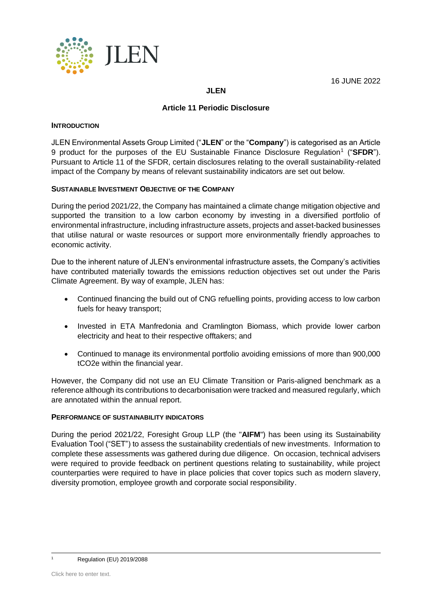

### **JLEN**

## **Article 11 Periodic Disclosure**

#### **INTRODUCTION**

JLEN Environmental Assets Group Limited ("**JLEN**" or the "**Company**") is categorised as an Article 9 product for the purposes of the EU Sustainable Finance Disclosure Regulation<sup>1</sup> ("SFDR"). Pursuant to Article 11 of the SFDR, certain disclosures relating to the overall sustainability-related impact of the Company by means of relevant sustainability indicators are set out below.

### **SUSTAINABLE INVESTMENT OBJECTIVE OF THE COMPANY**

During the period 2021/22, the Company has maintained a climate change mitigation objective and supported the transition to a low carbon economy by investing in a diversified portfolio of environmental infrastructure, including infrastructure assets, projects and asset-backed businesses that utilise natural or waste resources or support more environmentally friendly approaches to economic activity.

Due to the inherent nature of JLEN's environmental infrastructure assets, the Company's activities have contributed materially towards the emissions reduction objectives set out under the Paris Climate Agreement. By way of example, JLEN has:

- Continued financing the build out of CNG refuelling points, providing access to low carbon fuels for heavy transport;
- Invested in ETA Manfredonia and Cramlington Biomass, which provide lower carbon electricity and heat to their respective offtakers; and
- Continued to manage its environmental portfolio avoiding emissions of more than 900,000 tCO2e within the financial year.

However, the Company did not use an EU Climate Transition or Paris-aligned benchmark as a reference although its contributions to decarbonisation were tracked and measured regularly, which are annotated within the annual report.

#### **PERFORMANCE OF SUSTAINABILITY INDICATORS**

During the period 2021/22, Foresight Group LLP (the "**AIFM**") has been using its Sustainability Evaluation Tool ("SET") to assess the sustainability credentials of new investments. Information to complete these assessments was gathered during due diligence. On occasion, technical advisers were required to provide feedback on pertinent questions relating to sustainability, while project counterparties were required to have in place policies that cover topics such as modern slavery, diversity promotion, employee growth and corporate social responsibility.